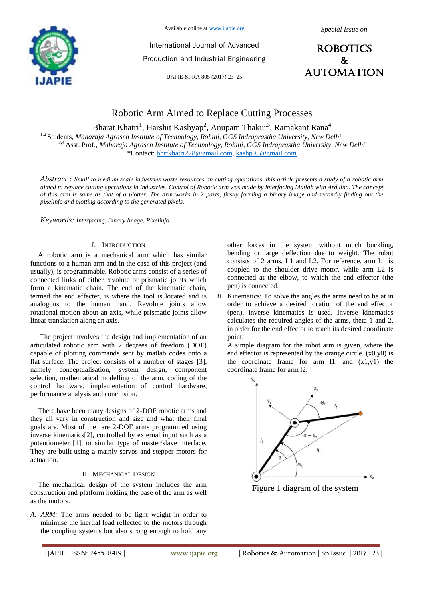

Available online at www.ijapie.org

International Journal of Advanced Production and Industrial Engineering

IJAPIE-SI-RA 805 (2017) 23–25



# Robotic Arm Aimed to Replace Cutting Processes

Bharat Khatri<sup>1</sup>, Harshit Kashyap<sup>2</sup>, Anupam Thakur<sup>3</sup>, Ramakant Rana<sup>4</sup>

<sup>1,2</sup> Students, *Maharaja Agrasen Institute of Technology, Rohini, GGS Indraprastha University, New Delhi* 3,4 Asst. Prof., *Maharaja Agrasen Institute of Technology, Rohini, GGS Indraprastha University, New Delhi* \*Contact: bhrtkhatri228@gmail.com, kashp95@gmail.com

*Abstract : Small to medium scale industries waste resources on cutting operations, this article presents a study of a robotic arm aimed to replace cutting operations in industries. Control of Robotic arm was made by interfacing Matlab with Arduino. The concept of this arm is same as that of a plotter. The arm works in 2 parts, firstly forming a binary image and secondly finding out the pixelinfo and plotting according to the generated pixels.*

*Keywords: Interfacing, Binary Image, Pixelinfo.*

### I. INTRODUCTION

A robotic arm is a mechanical arm which has similar functions to a human arm and in the case of this project (and usually), is programmable. Robotic arms consist of a series of connected links of either revolute or prismatic joints which form a kinematic chain. The end of the kinematic chain, termed the end effecter, is where the tool is located and is analogous to the human hand. Revolute joints allow rotational motion about an axis, while prismatic joints allow linear translation along an axis.

The project involves the design and implementation of an articulated robotic arm with 2 degrees of freedom (DOF) capable of plotting commands sent by matlab codes onto a flat surface. The project consists of a number of stages [3], namely conceptualisation, system design, component selection, mathematical modelling of the arm, coding of the control hardware, implementation of control hardware, performance analysis and conclusion.

There have been many designs of 2-DOF robotic arms and they all vary in construction and size and what their final goals are. Most of the are 2-DOF arms programmed using inverse kinematics[2], controlled by external input such as a potentiometer [1], or similar type of master/slave interface. They are built using a mainly servos and stepper motors for actuation.

#### II. MECHANICAL DESIGN

The mechanical design of the system includes the arm construction and platform holding the base of the arm as well as the motors.

*A. ARM:* The arms needed to be light weight in order to minimise the inertial load reflected to the motors through the coupling systems but also strong enough to hold any other forces in the system without much buckling, bending or large deflection due to weight. The robot consists of 2 arms, L1 and L2. For reference, arm L1 is coupled to the shoulder drive motor, while arm L2 is connected at the elbow, to which the end effector (the pen) is connected.

*B.* Kinematics: To solve the angles the arms need to be at in order to achieve a desired location of the end effector (pen), inverse kinematics is used. Inverse kinematics calculates the required angles of the arms, theta 1 and 2, in order for the end effector to reach its desired coordinate point.

A simple diagram for the robot arm is given, where the end effector is represented by the orange circle.  $(x0,y0)$  is the coordinate frame for arm l1, and (x1,y1) the coordinate frame for arm l2.



Figure 1 diagram of the system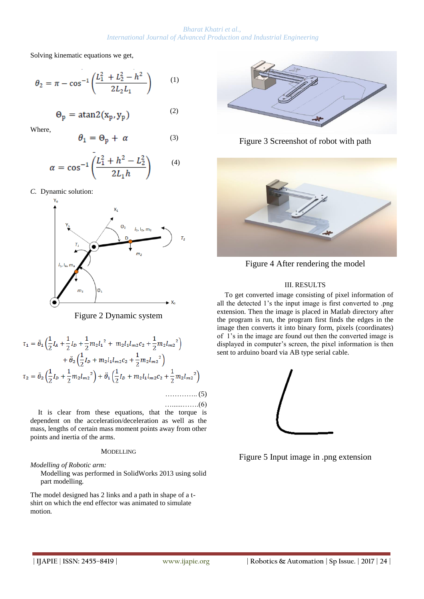*Bharat Khatri et al., International Journal of Advanced Production and Industrial Engineering*

Solving kinematic equations we get,

$$
\theta_2 = \pi - \cos^{-1}\left(\frac{L_1^2 + L_2^2 - h^2}{2L_2L_1}\right) \tag{1}
$$

$$
\Theta_p = \text{atan2}(x_p, y_p) \tag{2}
$$

Where,

$$
\theta_1 = \Theta_p + \alpha \tag{3}
$$

$$
\alpha = \cos^{-1}\left(\frac{L_1^2 + h^2 - L_2^2}{2L_1h}\right) \tag{4}
$$

*C.* Dynamic solution:



Figure 2 Dynamic system

$$
\tau_1 = \ddot{\theta}_1 \left( \frac{1}{2} I_A + \frac{1}{2} I_D + \frac{1}{2} m_2 l_1^2 + m_2 l_1 l_{m2} c_2 + \frac{1}{2} m_2 l_{m2}^2 \right) + \ddot{\theta}_2 \left( \frac{1}{2} I_D + m_2 l_1 l_{m2} c_2 + \frac{1}{2} m_2 l_{m2}^2 \right) \tau_2 = \ddot{\theta}_2 \left( \frac{1}{2} I_D + \frac{1}{2} m_2 l_{m2}^2 \right) + \ddot{\theta}_1 \left( \frac{1}{2} I_D + m_2 l_1 l_{m2} c_2 + \frac{1}{2} m_2 l_{m2}^2 \right) \dots \dots \dots \dots \tag{5}
$$

It is clear from these equations, that the torque is dependent on the acceleration/deceleration as well as the mass, lengths of certain mass moment points away from other points and inertia of the arms.

#### MODELLING

*Modelling of Robotic arm:*

Modelling was performed in SolidWorks 2013 using solid part modelling*.*

The model designed has 2 links and a path in shape of a tshirt on which the end effector was animated to simulate motion*.*



Figure 3 Screenshot of robot with path



Figure 4 After rendering the model

## III. RESULTS

To get converted image consisting of pixel information of all the detected 1's the input image is first converted to .png extension. Then the image is placed in Matlab directory after the program is run, the program first finds the edges in the image then converts it into binary form, pixels (coordinates) of 1's in the image are found out then the converted image is displayed in computer's screen, the pixel information is then sent to arduino board via AB type serial cable.



Figure 5 Input image in .png extension